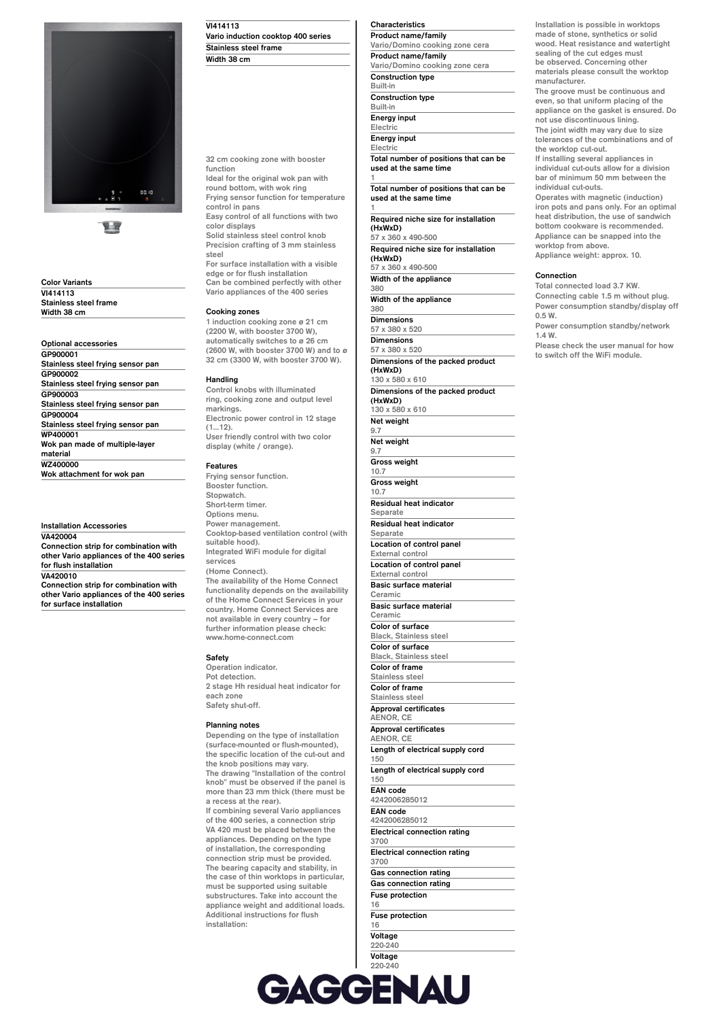

H

**Color Variants VI414113 Stainless steel frame Width 38 cm**

**Optional accessories GP900001 Stainless steel frying sensor pan GP900002 Stainless steel frying sensor pan GP900003 Stainless steel frying sensor pan GP900004 Stainless steel frying sensor pan WP400001 Wok pan made of multiple-layer material WZ400000 Wok attachment for wok pan**

**Installation Accessories VA420004**

**Connection strip for combination with other Vario appliances of the 400 series for flush installation VA420010**

**Connection strip for combination with other Vario appliances of the 400 series for surface installation**

# **VI414113**

**Vario induction cooktop 400 series Stainless steel frame Width 38 cm**

**32 cm cooking zone with booster**

**function Ideal for the original wok pan with round bottom, with wok ring Frying sensor function for temperature control in pans**

**Easy control of all functions with two color displays Solid stainless steel control knob Precision crafting of 3 mm stainless steel**

**For surface installation with a visible edge or for flush installation Can be combined perfectly with other**

**Vario appliances of the 400 series**

## **Cooking zones**

**1 induction cooking zone ø 21 cm (2200 W, with booster 3700 W), automatically switches to ø 26 cm (2600 W, with booster 3700 W) and to ø 32 cm (3300 W, with booster 3700 W).**

## **Handling**

**Control knobs with illuminated ring, cooking zone and output level markings. Electronic power control in 12 stage (1…12). User friendly control with two color display (white / orange).**

#### **Features**

**Frying sensor function. Booster function. Stopwatch. Short-term timer. Options menu. Power management. Cooktop-based ventilation control (with suitable hood). Integrated WiFi module for digital services (Home Connect). The availability of the Home Connect functionality depends on the availability of the Home Connect Services in your country. Home Connect Services are not available in every country – for further information please check: www.home-connect.com**

### **Safety**

**Operation indicator. Pot detection. 2 stage Hh residual heat indicator for each zone Safety shut-off.**

### **Planning notes**

**Depending on the type of installation (surface-mounted or flush-mounted), the specific location of the cut-out and the knob positions may vary. The drawing "Installation of the control knob" must be observed if the panel is more than 23 mm thick (there must be a recess at the rear).**

**If combining several Vario appliances of the 400 series, a connection strip VA 420 must be placed between the appliances. Depending on the type of installation, the corresponding connection strip must be provided. The bearing capacity and stability, in the case of thin worktops in particular, must be supported using suitable substructures. Take into account the appliance weight and additional loads. Additional instructions for flush installation:**

# **Characteristics**

**Product name/family Vario/Domino cooking zone cera Product name/family Vario/Domino cooking zone cera Construction type Built-in Construction type Built-in Energy input Electric Energy input Electric**

**Total number of positions that can be used at the same time 1**

**Total number of positions that can be used at the same time**

**1 Required niche size for installation (HxWxD) 57 x 360 x 490-500**

**Required niche size for installation (HxWxD)**

**57 x 360 x 490-500 Width of the appliance**

**380 Width of the appliance**

**380**

**Dimensions 57 x 380 x 520 Dimensions**

**57 x 380 x 520 Dimensions of the packed product (HxWxD) 130 x 580 x 610 Dimensions of the packed product (HxWxD) 130 x 580 x 610 Net weight 9.7 Net weight 9.7 Gross weight 10.7 Gross weight 10.7 Residual heat indicator Separate Residual heat indicator Separate Location of control panel External control Location of control panel External control Basic surface material Ceramic Basic surface material Ceramic Color of surface Black, Stainless steel Color of surface Black, Stainless steel Color of frame Stainless steel Color of frame Stainless steel Approval certificates AENOR, CE Approval certificates AENOR, CE Length of electrical supply cord 150 Length of electrical supply cord 150 EAN code 4242006285012 EAN code 4242006285012 Electrical connection rating 3700 Electrical connection rating 3700 Gas connection rating Gas connection rating Fuse protection 16**

**Installation is possible in worktops made of stone, synthetics or solid wood. Heat resistance and watertight sealing of the cut edges must be observed. Concerning other materials please consult the worktop manufacturer. The groove must be continuous and even, so that uniform placing of the appliance on the gasket is ensured. Do not use discontinuous lining. The joint width may vary due to size tolerances of the combinations and of the worktop cut-out.**

**If installing several appliances in individual cut-outs allow for a division bar of minimum 50 mm between the individual cut-outs.**

**Operates with magnetic (induction) iron pots and pans only. For an optimal heat distribution, the use of sandwich bottom cookware is recommended. Appliance can be snapped into the worktop from above. Appliance weight: approx. 10.**

#### **Connection**

**Total connected load 3.7 KW. Connecting cable 1.5 m without plug. Power consumption standby/display off 0.5 W. Power consumption standby/network 1.4 W.**

**Please check the user manual for how to switch off the WiFi module.**



**16 Voltage**

**Fuse protection**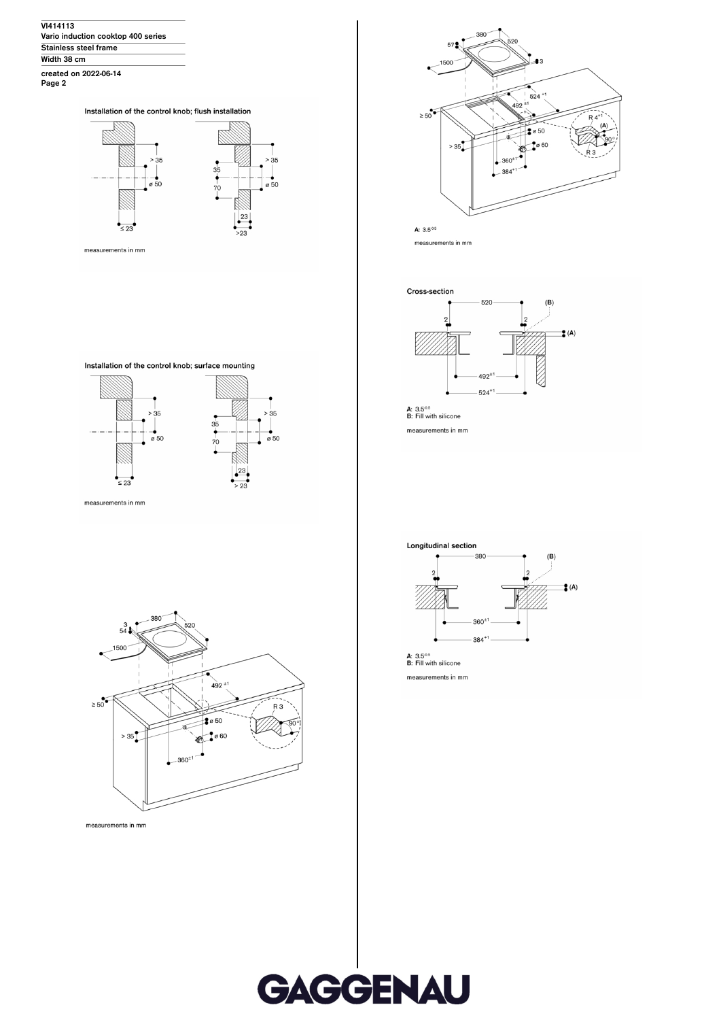**VI414113 Vario induction cooktop 400 series Stainless steel frame Width 38 cm created on 2022-06-14 Page 2**

Installation of the control knob; flush installation



measurements in mm







measurements in mm



**A:**  $3.5^{\circ.5}$ <br>**B:** Fill with silicone measurements in mm





measurements in mm